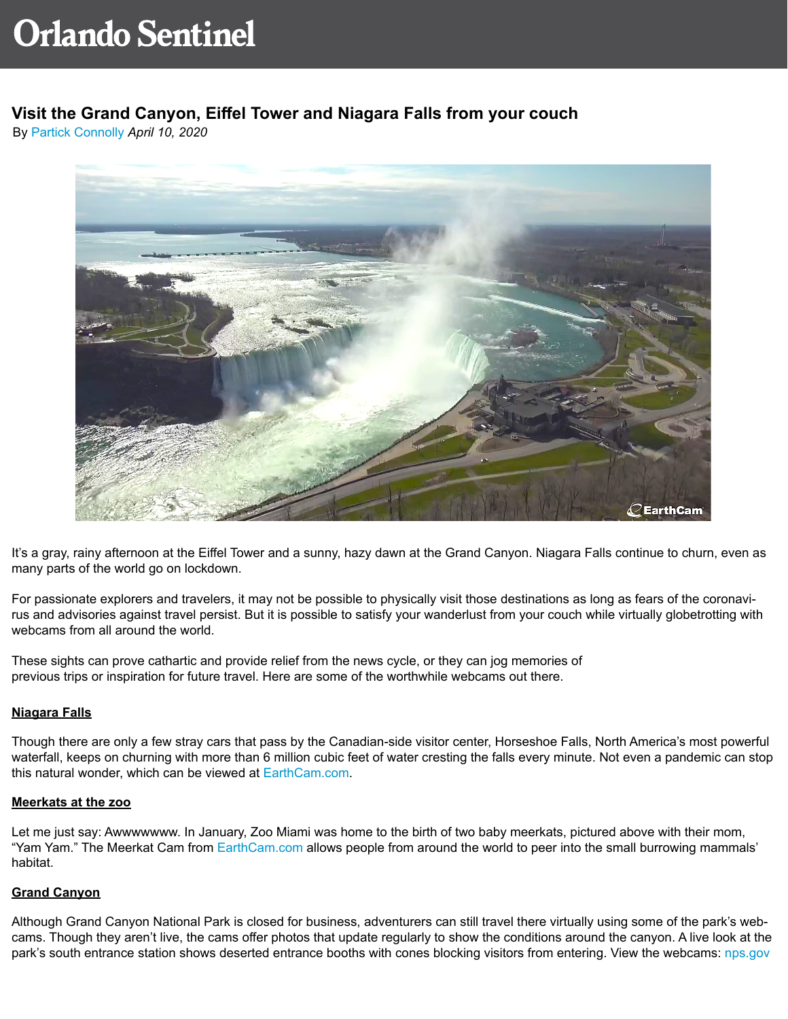# **Visit the Grand Canyon, Eiffel Tower and Niagara Falls from your couch**

By [Partick Connolly](https://www.orlandosentinel.com/os-patrick-connolly-bio-staff.html) *April 10, 2020*



It's a gray, rainy afternoon at the Eiffel Tower and a sunny, hazy dawn at the Grand Canyon. Niagara Falls continue to churn, even as many parts of the world go on lockdown.

For passionate explorers and travelers, it may not be possible to physically visit those destinations as long as fears of the coronavirus and advisories against travel persist. But it is possible to satisfy your wanderlust from your couch while virtually globetrotting with webcams from all around the world.

These sights can prove cathartic and provide relief from the news cycle, or they can jog memories of previous trips or inspiration for future travel. Here are some of the worthwhile webcams out there.

## **Niagara Falls**

Though there are only a few stray cars that pass by the Canadian-side visitor center, Horseshoe Falls, North America's most powerful waterfall, keeps on churning with more than 6 million cubic feet of water cresting the falls every minute. Not even a pandemic can stop this natural wonder, which can be viewed at [EarthCam.com](https://www.earthcam.com/canada/niagarafalls/thefalls/?cam=niagarafalls2).

## **Meerkats at the zoo**

Let me just say: Awwwwwww. In January, Zoo Miami was home to the birth of two baby meerkats, pictured above with their mom, "Yam Yam." The Meerkat Cam from [EarthCam.com](https://www.earthcam.com/usa/florida/miami/meerkat/?cam=meerkat) allows people from around the world to peer into the small burrowing mammals' habitat.

## **Grand Canyon**

Although Grand Canyon National Park is closed for business, adventurers can still travel there virtually using some of the park's webcams. Though they aren't live, the cams offer photos that update regularly to show the conditions around the canyon. A live look at the park's south entrance station shows deserted entrance booths with cones blocking visitors from entering. View the webcams: [nps.gov](https://www.nps.gov/grca/learn/photosmultimedia/webcams.htm)